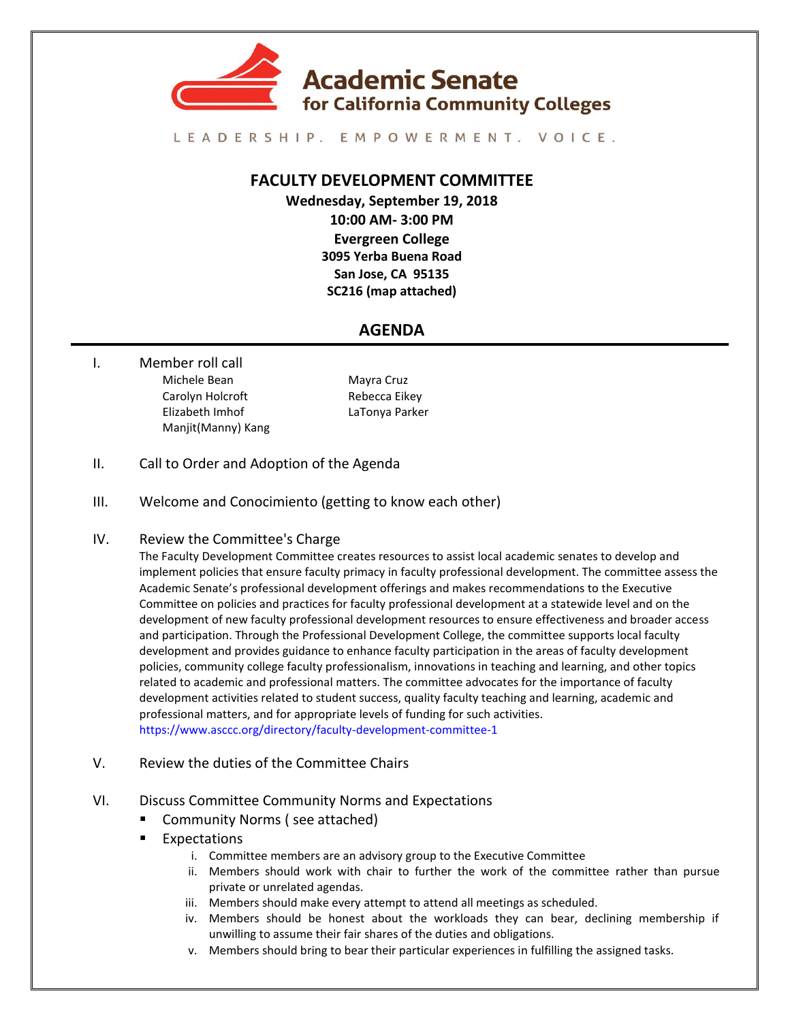

LEADERSHIP. EMPOWERMENT. VOICE.

## **FACULTY DEVELOPMENT COMMITTEE**

**Wednesday, September 19, 2018 10:00 AM- 3:00 PM Evergreen College 3095 Yerba Buena Road San Jose, CA 95135 SC216 (map attached)**

## **AGENDA**

I. Member roll call Michele Bean Mayra Cruz Carolyn Holcroft Rebecca Eikey Elizabeth Imhof LaTonya Parker Manjit(Manny) Kang

- II. Call to Order and Adoption of the Agenda
- III. Welcome and Conocimiento (getting to know each other)
- IV. Review the Committee's Charge

The Faculty Development Committee creates resources to assist local academic senates to develop and implement policies that ensure faculty primacy in faculty professional development. The committee assess the Academic Senate's professional development offerings and makes recommendations to the Executive Committee on policies and practices for faculty professional development at a statewide level and on the development of new faculty professional development resources to ensure effectiveness and broader access and participation. Through the Professional Development College, the committee supports local faculty development and provides guidance to enhance faculty participation in the areas of faculty development policies, community college faculty professionalism, innovations in teaching and learning, and other topics related to academic and professional matters. The committee advocates for the importance of faculty development activities related to student success, quality faculty teaching and learning, academic and professional matters, and for appropriate levels of funding for such activities. <https://www.asccc.org/directory/faculty-development-committee-1>

- V. Review the duties of the Committee Chairs
- VI. Discuss Committee Community Norms and Expectations
	- Community Norms ( see attached)
	- Expectations
		- i. Committee members are an advisory group to the Executive Committee
		- ii. Members should work with chair to further the work of the committee rather than pursue private or unrelated agendas.
		- iii. Members should make every attempt to attend all meetings as scheduled.
		- iv. Members should be honest about the workloads they can bear, declining membership if unwilling to assume their fair shares of the duties and obligations.
		- v. Members should bring to bear their particular experiences in fulfilling the assigned tasks.